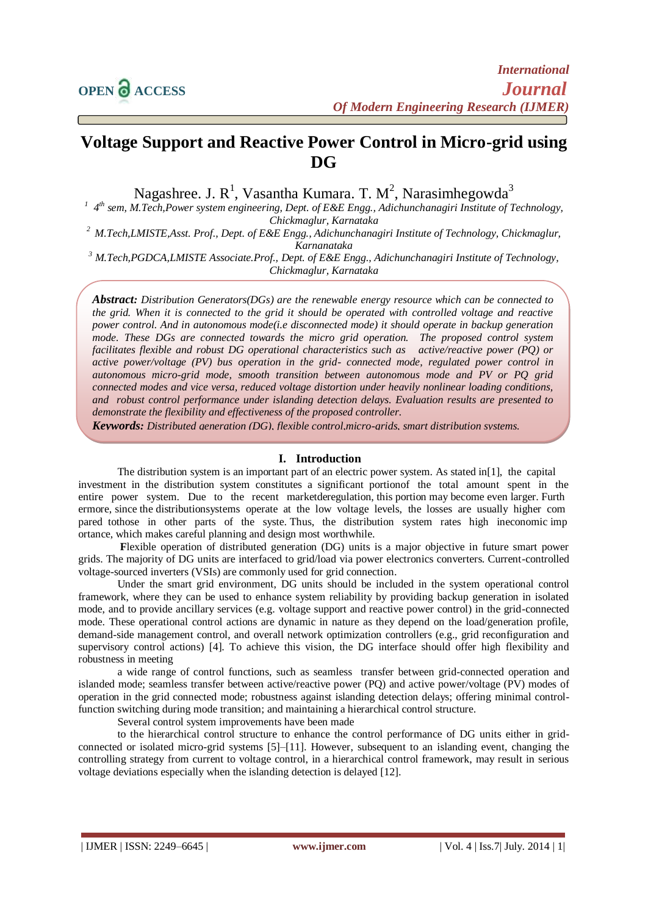# **Voltage Support and Reactive Power Control in Micro-grid using DG**

Nagashree. J. R<sup>1</sup>, Vasantha Kumara. T. M<sup>2</sup>, Narasimhegowda<sup>3</sup>

<sup>1</sup> 4<sup>th</sup> sem, M.Tech,Power system engineering, Dept. of E&E Engg., Adichunchanagiri Institute of Technology, *Chickmaglur, Karnataka*

*<sup>2</sup> M.Tech,LMISTE,Asst. Prof., Dept. of E&E Engg., Adichunchanagiri Institute of Technology, Chickmaglur, Karnanataka*

*<sup>3</sup> M.Tech,PGDCA,LMISTE Associate.Prof., Dept. of E&E Engg., Adichunchanagiri Institute of Technology, Chickmaglur, Karnataka*

*Abstract: Distribution Generators(DGs) are the renewable energy resource which can be connected to the grid. When it is connected to the grid it should be operated with controlled voltage and reactive power control. And in autonomous mode(i.e disconnected mode) it should operate in backup generation mode. These DGs are connected towards the micro grid operation. The proposed control system facilitates flexible and robust DG operational characteristics such as active/reactive power (PQ) or active power/voltage (PV) bus operation in the grid- connected mode, regulated power control in autonomous micro-grid mode, smooth transition between autonomous mode and PV or PQ grid connected modes and vice versa, reduced voltage distortion under heavily nonlinear loading conditions, and robust control performance under islanding detection delays. Evaluation results are presented to demonstrate the flexibility and effectiveness of the proposed controller.*

*Keywords: Distributed generation (DG), flexible control,micro-grids, smart distribution systems.*

# **I. Introduction**

The distribution system is an important part of an electric power system. As stated in[1], the capital investment in the distribution system constitutes a significant portionof the total amount spent in the entire power system. Due to the recent marketderegulation, this portion may become even larger. Furth ermore, since the distributionsystems operate at the low voltage levels, the losses are usually higher com pared tothose in other parts of the syste. Thus, the distribution system rates high ineconomic imp ortance, which makes careful planning and design most worthwhile.

**F**lexible operation of distributed generation (DG) units is a major objective in future smart power grids. The majority of DG units are interfaced to grid/load via power electronics converters. Current-controlled voltage-sourced inverters (VSIs) are commonly used for grid connection.

Under the smart grid environment, DG units should be included in the system operational control framework, where they can be used to enhance system reliability by providing backup generation in isolated mode, and to provide ancillary services (e.g. voltage support and reactive power control) in the grid-connected mode. These operational control actions are dynamic in nature as they depend on the load/generation profile, demand-side management control, and overall network optimization controllers (e.g., grid reconfiguration and supervisory control actions) [4]. To achieve this vision, the DG interface should offer high flexibility and robustness in meeting

a wide range of control functions, such as seamless transfer between grid-connected operation and islanded mode; seamless transfer between active/reactive power (PQ) and active power/voltage (PV) modes of operation in the grid connected mode; robustness against islanding detection delays; offering minimal controlfunction switching during mode transition; and maintaining a hierarchical control structure.

Several control system improvements have been made

to the hierarchical control structure to enhance the control performance of DG units either in gridconnected or isolated micro-grid systems [5]–[11]. However, subsequent to an islanding event, changing the controlling strategy from current to voltage control, in a hierarchical control framework, may result in serious voltage deviations especially when the islanding detection is delayed [12].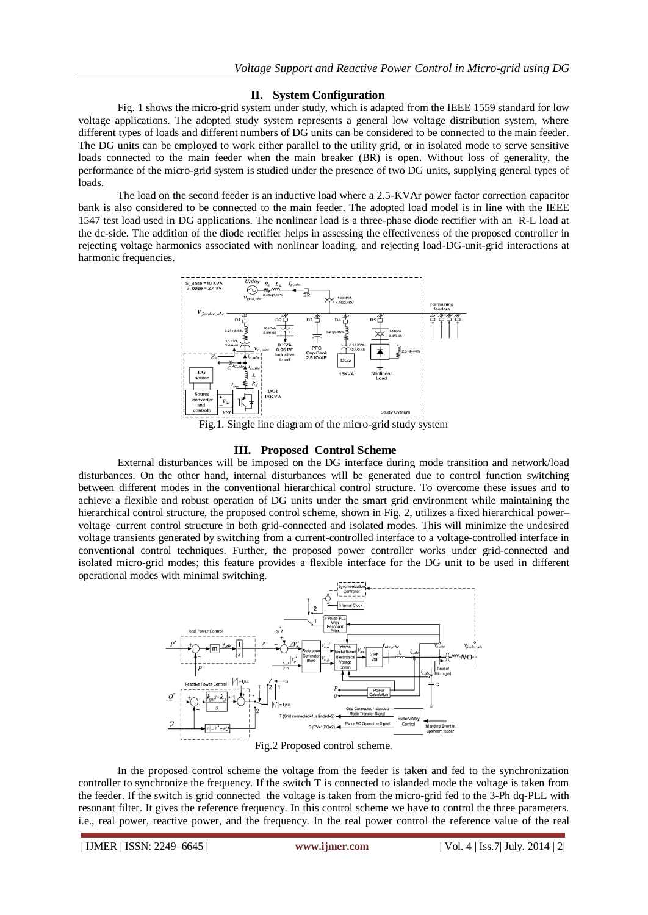## **II. System Configuration**

Fig. 1 shows the micro-grid system under study, which is adapted from the IEEE 1559 standard for low voltage applications. The adopted study system represents a general low voltage distribution system, where different types of loads and different numbers of DG units can be considered to be connected to the main feeder. The DG units can be employed to work either parallel to the utility grid, or in isolated mode to serve sensitive loads connected to the main feeder when the main breaker (BR) is open. Without loss of generality, the performance of the micro-grid system is studied under the presence of two DG units, supplying general types of loads.

The load on the second feeder is an inductive load where a 2.5-KVAr power factor correction capacitor bank is also considered to be connected to the main feeder. The adopted load model is in line with the IEEE 1547 test load used in DG applications. The nonlinear load is a three-phase diode rectifier with an R-L load at the dc-side. The addition of the diode rectifier helps in assessing the effectiveness of the proposed controller in rejecting voltage harmonics associated with nonlinear loading, and rejecting load-DG-unit-grid interactions at harmonic frequencies.



Fig.1. Single line diagram of the micro-grid study system

# **III. Proposed Control Scheme**

External disturbances will be imposed on the DG interface during mode transition and network/load disturbances. On the other hand, internal disturbances will be generated due to control function switching between different modes in the conventional hierarchical control structure. To overcome these issues and to achieve a flexible and robust operation of DG units under the smart grid environment while maintaining the hierarchical control structure, the proposed control scheme, shown in Fig. 2, utilizes a fixed hierarchical power– voltage–current control structure in both grid-connected and isolated modes. This will minimize the undesired voltage transients generated by switching from a current-controlled interface to a voltage-controlled interface in conventional control techniques. Further, the proposed power controller works under grid-connected and isolated micro-grid modes; this feature provides a flexible interface for the DG unit to be used in different operational modes with minimal switching.



Fig.2 Proposed control scheme.

In the proposed control scheme the voltage from the feeder is taken and fed to the synchronization controller to synchronize the frequency. If the switch T is connected to islanded mode the voltage is taken from the feeder. If the switch is grid connected the voltage is taken from the micro-grid fed to the 3-Ph dq-PLL with resonant filter. It gives the reference frequency. In this control scheme we have to control the three parameters. i.e., real power, reactive power, and the frequency. In the real power control the reference value of the real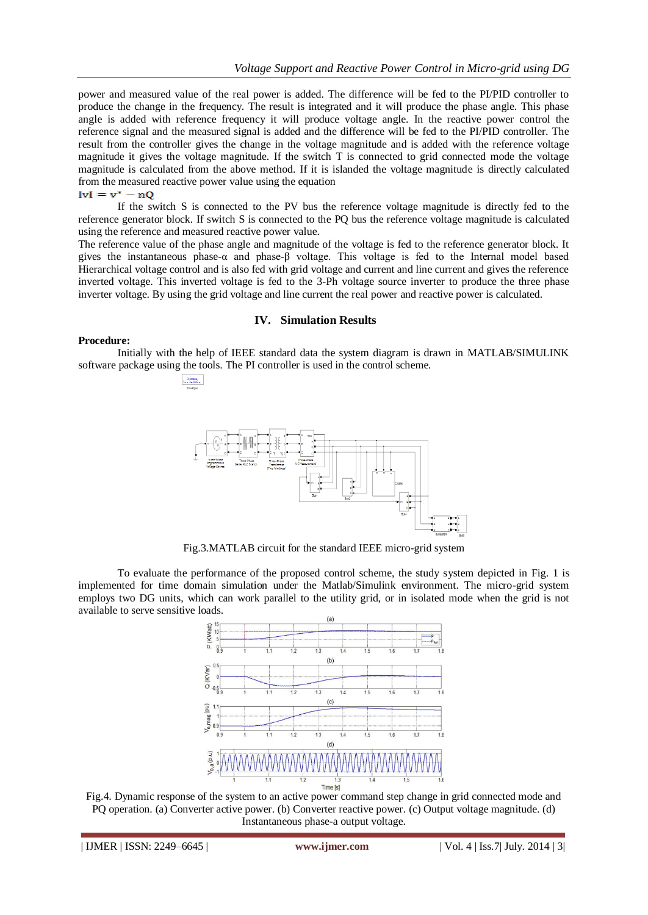power and measured value of the real power is added. The difference will be fed to the PI/PID controller to produce the change in the frequency. The result is integrated and it will produce the phase angle. This phase angle is added with reference frequency it will produce voltage angle. In the reactive power control the reference signal and the measured signal is added and the difference will be fed to the PI/PID controller. The result from the controller gives the change in the voltage magnitude and is added with the reference voltage magnitude it gives the voltage magnitude. If the switch T is connected to grid connected mode the voltage magnitude is calculated from the above method. If it is islanded the voltage magnitude is directly calculated from the measured reactive power value using the equation

 $Ivl = v^* - nQ$ 

If the switch S is connected to the PV bus the reference voltage magnitude is directly fed to the reference generator block. If switch S is connected to the PQ bus the reference voltage magnitude is calculated using the reference and measured reactive power value.

The reference value of the phase angle and magnitude of the voltage is fed to the reference generator block. It gives the instantaneous phase-α and phase-β voltage. This voltage is fed to the Internal model based Hierarchical voltage control and is also fed with grid voltage and current and line current and gives the reference inverted voltage. This inverted voltage is fed to the 3-Ph voltage source inverter to produce the three phase inverter voltage. By using the grid voltage and line current the real power and reactive power is calculated.

## **IV. Simulation Results**

### **Procedure:**

 $\begin{array}{c} \text{Discrete},\\ \text{Ts} = 3\mathrm{e}{-005}\,\mathrm{s}. \end{array}$ 

Initially with the help of IEEE standard data the system diagram is drawn in MATLAB/SIMULINK software package using the tools. The PI controller is used in the control scheme.



Fig.3.MATLAB circuit for the standard IEEE micro-grid system

To evaluate the performance of the proposed control scheme, the study system depicted in Fig. 1 is implemented for time domain simulation under the Matlab/Simulink environment. The micro-grid system employs two DG units, which can work parallel to the utility grid, or in isolated mode when the grid is not available to serve sensitive loads.



Fig.4. Dynamic response of the system to an active power command step change in grid connected mode and PQ operation. (a) Converter active power. (b) Converter reactive power. (c) Output voltage magnitude. (d) Instantaneous phase-a output voltage.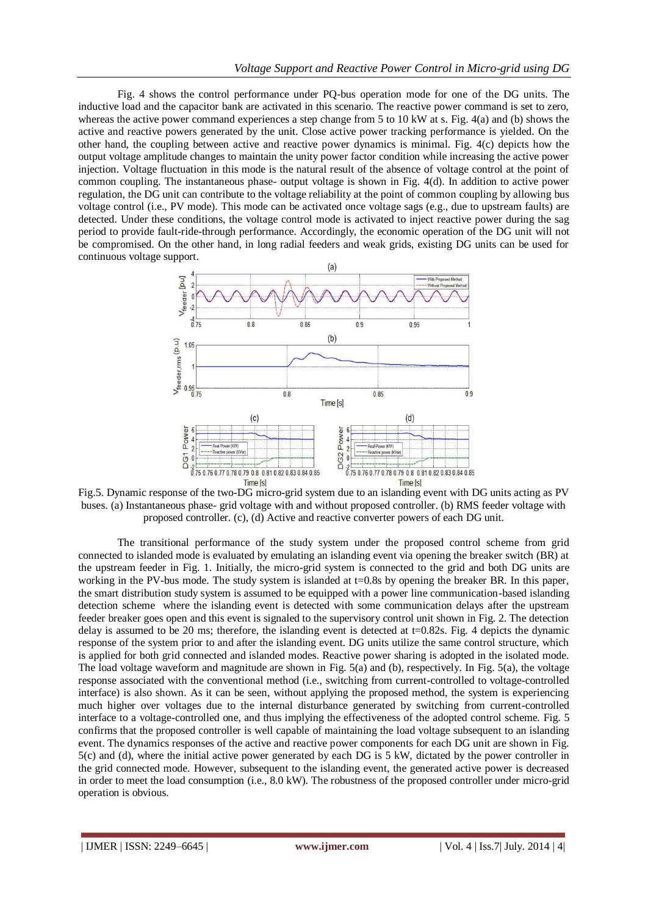Fig. 4 shows the control performance under PQ-bus operation mode for one of the DG units. The inductive load and the capacitor bank are activated in this scenario. The reactive power command is set to zero, whereas the active power command experiences a step change from 5 to 10 kW at s. Fig. 4(a) and (b) shows the active and reactive powers generated by the unit. Close active power tracking performance is yielded. On the other hand, the coupling between active and reactive power dynamics is minimal. Fig. 4(c) depicts how the output voltage amplitude changes to maintain the unity power factor condition while increasing the active power injection. Voltage fluctuation in this mode is the natural result of the absence of voltage control at the point of common coupling. The instantaneous phase- output voltage is shown in Fig. 4(d). In addition to active power regulation, the DG unit can contribute to the voltage reliability at the point of common coupling by allowing bus voltage control (i.e., PV mode). This mode can be activated once voltage sags (e.g., due to upstream faults) are detected. Under these conditions, the voltage control mode is activated to inject reactive power during the sag period to provide fault-ride-through performance. Accordingly, the economic operation of the DG unit will not be compromised. On the other hand, in long radial feeders and weak grids, existing DG units can be used for continuous voltage support.



Fig.5. Dynamic response of the two-DG micro-grid system due to an islanding event with DG units acting as PV buses. (a) Instantaneous phase- grid voltage with and without proposed controller. (b) RMS feeder voltage with proposed controller. (c), (d) Active and reactive converter powers of each DG unit.

The transitional performance of the study system under the proposed control scheme from grid connected to islanded mode is evaluated by emulating an islanding event via opening the breaker switch (BR) at the upstream feeder in Fig. 1. Initially, the micro-grid system is connected to the grid and both DG units are working in the PV-bus mode. The study system is islanded at t=0.8s by opening the breaker BR. In this paper, the smart distribution study system is assumed to be equipped with a power line communication-based islanding detection scheme where the islanding event is detected with some communication delays after the upstream feeder breaker goes open and this event is signaled to the supervisory control unit shown in Fig. 2. The detection delay is assumed to be 20 ms; therefore, the islanding event is detected at t=0.82s. Fig. 4 depicts the dynamic response of the system prior to and after the islanding event. DG units utilize the same control structure, which is applied for both grid connected and islanded modes. Reactive power sharing is adopted in the isolated mode. The load voltage waveform and magnitude are shown in Fig. 5(a) and (b), respectively. In Fig. 5(a), the voltage response associated with the conventional method (i.e., switching from current-controlled to voltage-controlled interface) is also shown. As it can be seen, without applying the proposed method, the system is experiencing much higher over voltages due to the internal disturbance generated by switching from current-controlled interface to a voltage-controlled one, and thus implying the effectiveness of the adopted control scheme. Fig. 5 confirms that the proposed controller is well capable of maintaining the load voltage subsequent to an islanding event. The dynamics responses of the active and reactive power components for each DG unit are shown in Fig. 5(c) and (d), where the initial active power generated by each DG is 5 kW, dictated by the power controller in the grid connected mode. However, subsequent to the islanding event, the generated active power is decreased in order to meet the load consumption (i.e., 8.0 kW). The robustness of the proposed controller under micro-grid operation is obvious.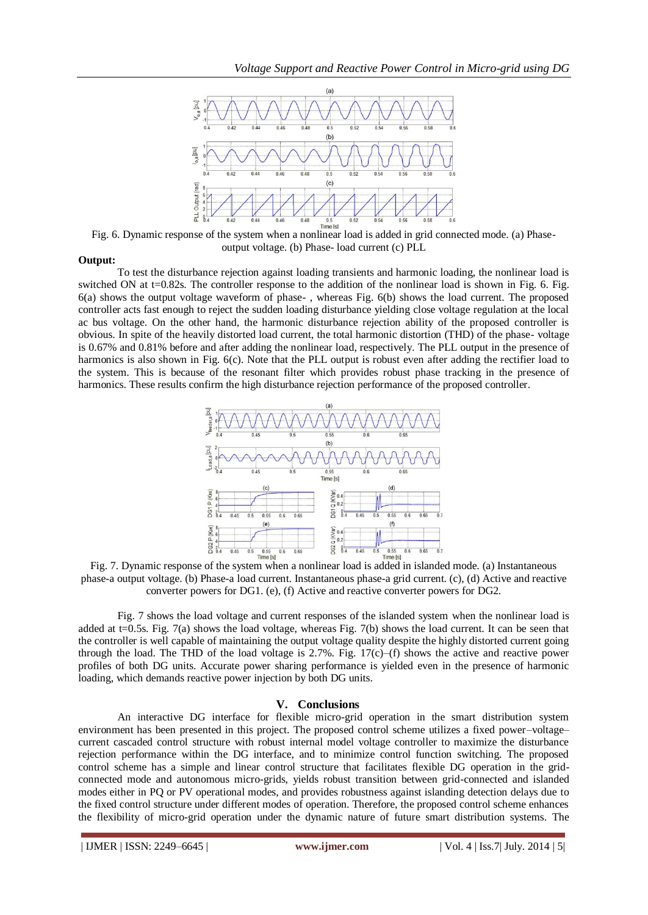

 $Fig. 6. Dvaramic response of the system when a nonlinear load is added in grid connected mode. (a) Phase$ output voltage. (b) Phase- load current (c) PLL

### **Output:**

To test the disturbance rejection against loading transients and harmonic loading, the nonlinear load is switched ON at t=0.82s. The controller response to the addition of the nonlinear load is shown in Fig. 6. Fig. 6(a) shows the output voltage waveform of phase- , whereas Fig. 6(b) shows the load current. The proposed controller acts fast enough to reject the sudden loading disturbance yielding close voltage regulation at the local ac bus voltage. On the other hand, the harmonic disturbance rejection ability of the proposed controller is obvious. In spite of the heavily distorted load current, the total harmonic distortion (THD) of the phase- voltage is 0.67% and 0.81% before and after adding the nonlinear load, respectively. The PLL output in the presence of harmonics is also shown in Fig. 6(c). Note that the PLL output is robust even after adding the rectifier load to the system. This is because of the resonant filter which provides robust phase tracking in the presence of harmonics. These results confirm the high disturbance rejection performance of the proposed controller.



Fig. 7. Dynamic response of the system when a nonlinear load is added in islanded mode. (a) Instantaneous phase-a output voltage. (b) Phase-a load current. Instantaneous phase-a grid current. (c), (d) Active and reactive converter powers for DG1. (e), (f) Active and reactive converter powers for DG2.

Fig. 7 shows the load voltage and current responses of the islanded system when the nonlinear load is added at  $t=0.5s$ . Fig. 7(a) shows the load voltage, whereas Fig. 7(b) shows the load current. It can be seen that the controller is well capable of maintaining the output voltage quality despite the highly distorted current going through the load. The THD of the load voltage is  $2.7\%$ . Fig. 17(c)–(f) shows the active and reactive power profiles of both DG units. Accurate power sharing performance is yielded even in the presence of harmonic loading, which demands reactive power injection by both DG units.

## **V. Conclusions**

An interactive DG interface for flexible micro-grid operation in the smart distribution system environment has been presented in this project. The proposed control scheme utilizes a fixed power–voltage– current cascaded control structure with robust internal model voltage controller to maximize the disturbance rejection performance within the DG interface, and to minimize control function switching. The proposed control scheme has a simple and linear control structure that facilitates flexible DG operation in the gridconnected mode and autonomous micro-grids, yields robust transition between grid-connected and islanded modes either in PQ or PV operational modes, and provides robustness against islanding detection delays due to the fixed control structure under different modes of operation. Therefore, the proposed control scheme enhances the flexibility of micro-grid operation under the dynamic nature of future smart distribution systems. The